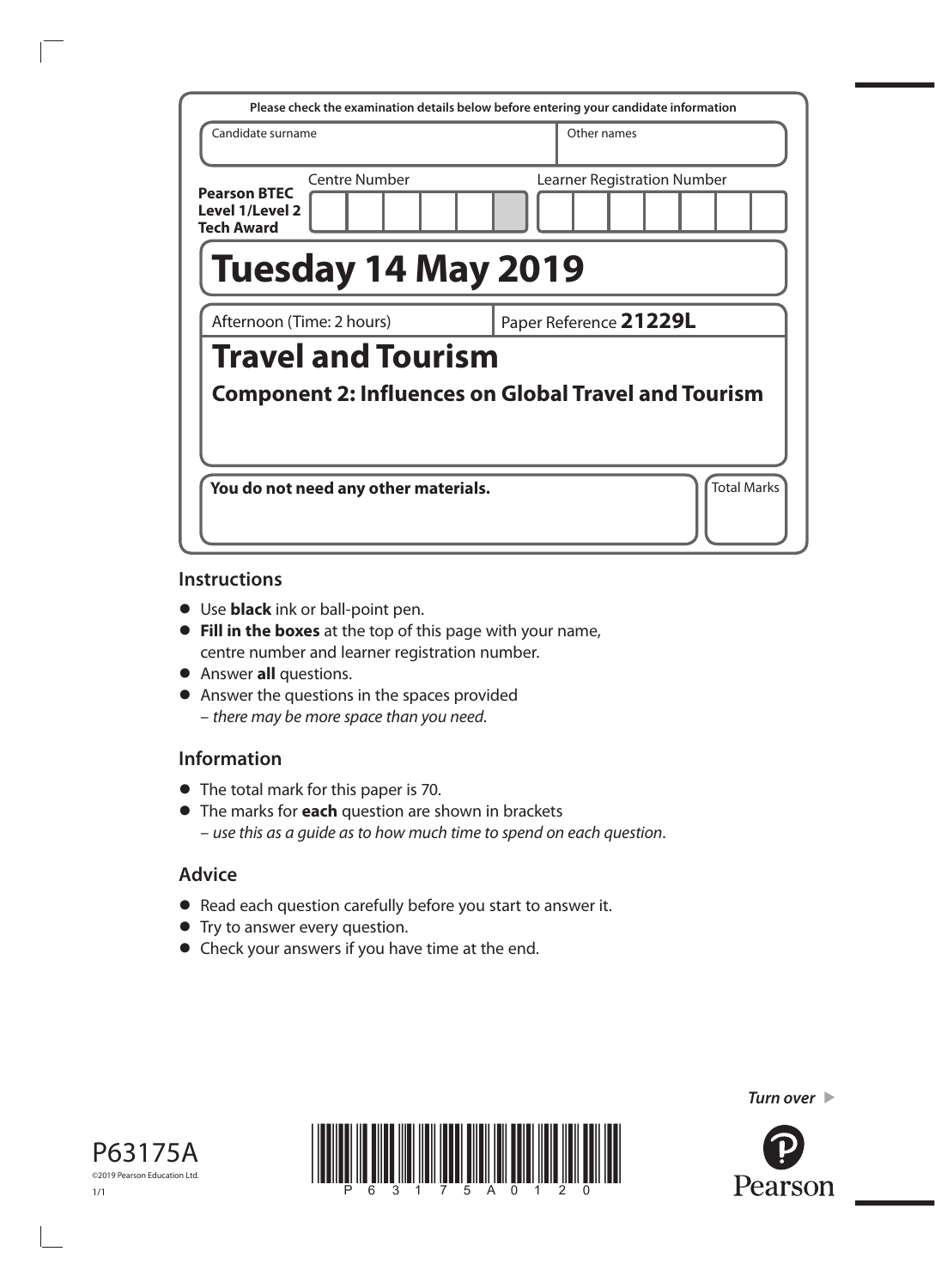| Please check the examination details below before entering your candidate information    |                             |  |  |  |
|------------------------------------------------------------------------------------------|-----------------------------|--|--|--|
| Candidate surname                                                                        | Other names                 |  |  |  |
| Centre Number<br><b>Pearson BTEC</b><br>Level 1/Level 2<br><b>Tech Award</b>             | Learner Registration Number |  |  |  |
| <b>Tuesday 14 May 2019</b>                                                               |                             |  |  |  |
| Afternoon (Time: 2 hours)                                                                | Paper Reference 21229L      |  |  |  |
| <b>Travel and Tourism</b><br><b>Component 2: Influences on Global Travel and Tourism</b> |                             |  |  |  |
| You do not need any other materials.                                                     | <b>Total Marks</b>          |  |  |  |

#### **Instructions**

- **•** Use **black** ink or ball-point pen.
- **• Fill in the boxes** at the top of this page with your name, centre number and learner registration number.
- **•** Answer **all** questions.
- **•** Answer the questions in the spaces provided – *there may be more space than you need*.

### **Information**

- **•** The total mark for this paper is 70.
- **•** The marks for **each** question are shown in brackets – *use this as a guide as to how much time to spend on each question*.

# **Advice**

- **•** Read each question carefully before you start to answer it.
- **•** Try to answer every question.
- **•** Check your answers if you have time at the end.





*Turn over* 

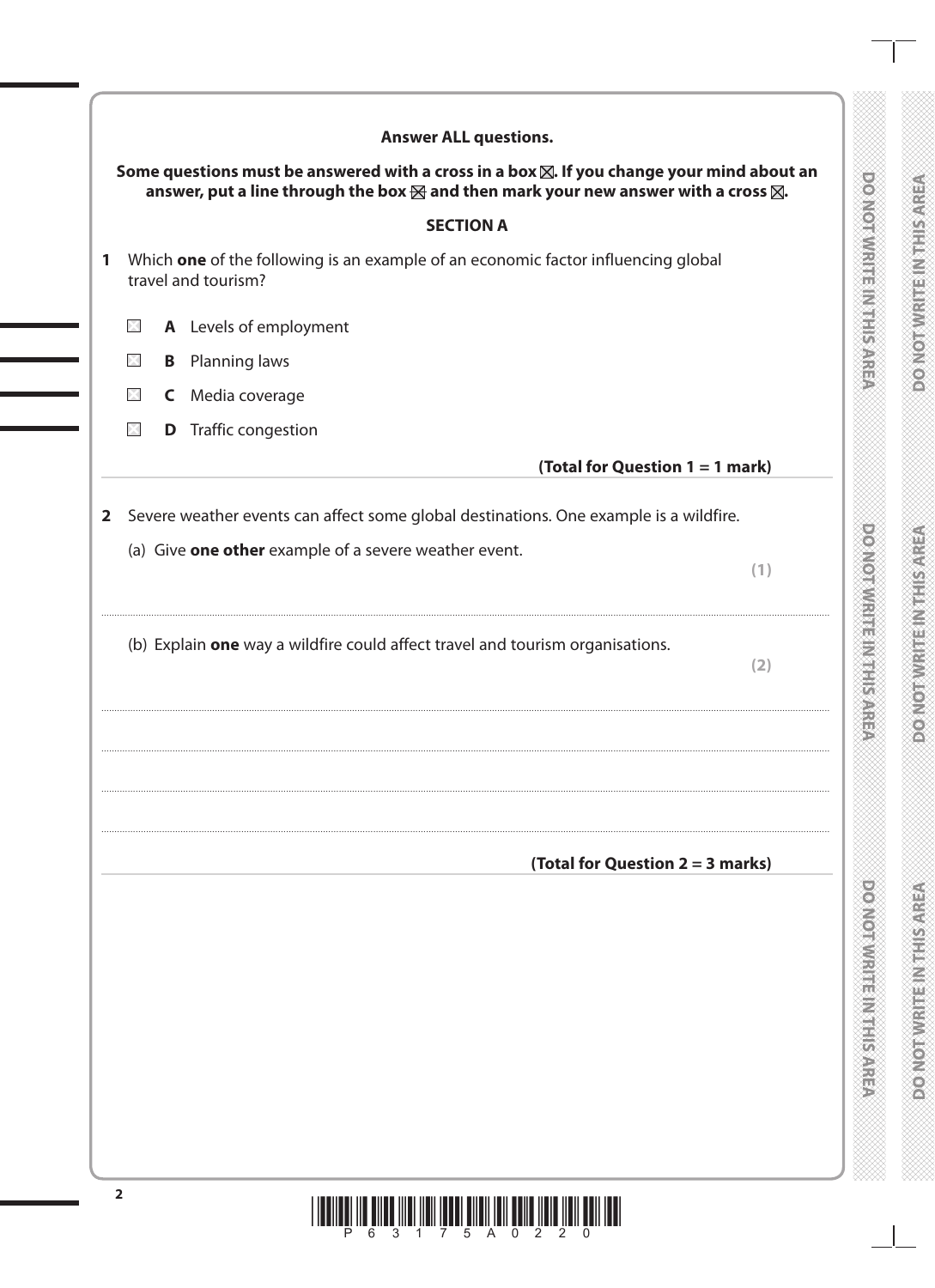| <b>Answer ALL questions.</b><br>Some questions must be answered with a cross in a box $\boxtimes$ . If you change your mind about an<br>answer, put a line through the box $\boxtimes$ and then mark your new answer with a cross $\boxtimes$ . |                                         |                               |
|-------------------------------------------------------------------------------------------------------------------------------------------------------------------------------------------------------------------------------------------------|-----------------------------------------|-------------------------------|
| <b>SECTION A</b>                                                                                                                                                                                                                                |                                         |                               |
| Which one of the following is an example of an economic factor influencing global<br>$\mathbf{1}$<br>travel and tourism?                                                                                                                        | <b>DONOMIA PRE</b>                      |                               |
| A Levels of employment                                                                                                                                                                                                                          |                                         |                               |
| <b>Planning laws</b><br>B                                                                                                                                                                                                                       | ri<br>Ci                                |                               |
| <b>C</b> Media coverage<br>X                                                                                                                                                                                                                    |                                         |                               |
| <b>D</b> Traffic congestion                                                                                                                                                                                                                     |                                         |                               |
| (Total for Question 1 = 1 mark)                                                                                                                                                                                                                 |                                         |                               |
| Severe weather events can affect some global destinations. One example is a wildfire.<br>$\overline{2}$                                                                                                                                         |                                         |                               |
| (a) Give one other example of a severe weather event.<br>(1)                                                                                                                                                                                    | <b>MISS RESERVES</b>                    |                               |
| (b) Explain one way a wildfire could affect travel and tourism organisations.<br>(2)                                                                                                                                                            |                                         |                               |
| (Total for Question 2 = 3 marks)                                                                                                                                                                                                                | <b>POSITORY IN A REPORT OF A STREET</b> | <b>NOTE TERMS ENGINEERING</b> |
| $\overline{2}$                                                                                                                                                                                                                                  |                                         |                               |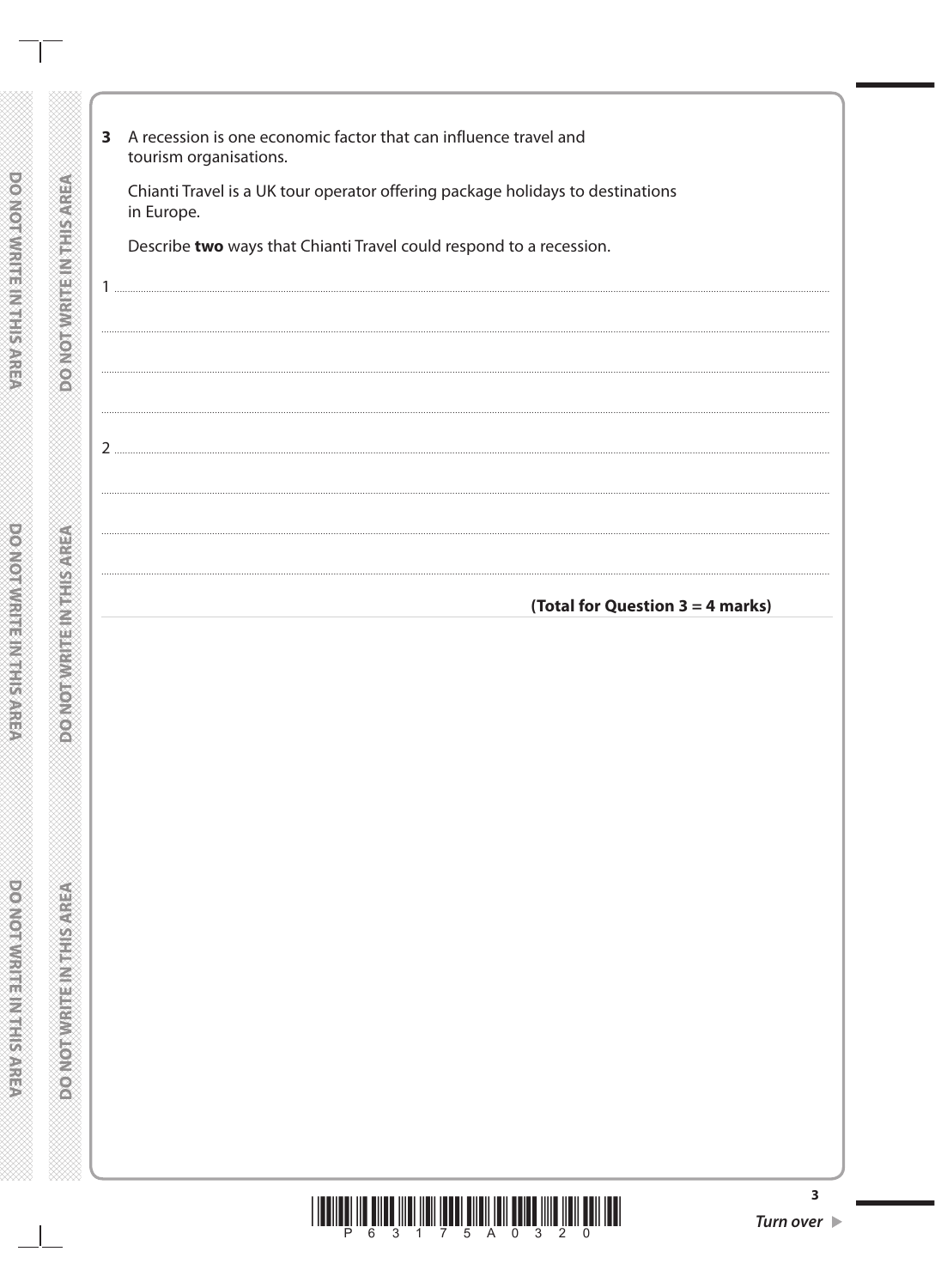| A recession is one economic factor that can influence travel and<br>tourism organisations.   |
|----------------------------------------------------------------------------------------------|
| Chianti Travel is a UK tour operator offering package holidays to destinations<br>in Europe. |
| Describe two ways that Chianti Travel could respond to a recession.                          |
|                                                                                              |
|                                                                                              |
|                                                                                              |
| 2                                                                                            |
|                                                                                              |
|                                                                                              |
|                                                                                              |
| (Total for Question 3 = 4 marks)                                                             |
|                                                                                              |
|                                                                                              |
|                                                                                              |
|                                                                                              |
|                                                                                              |
|                                                                                              |
|                                                                                              |
|                                                                                              |
|                                                                                              |
|                                                                                              |
|                                                                                              |
|                                                                                              |
|                                                                                              |
|                                                                                              |

 $\Box$ 

 $\Box$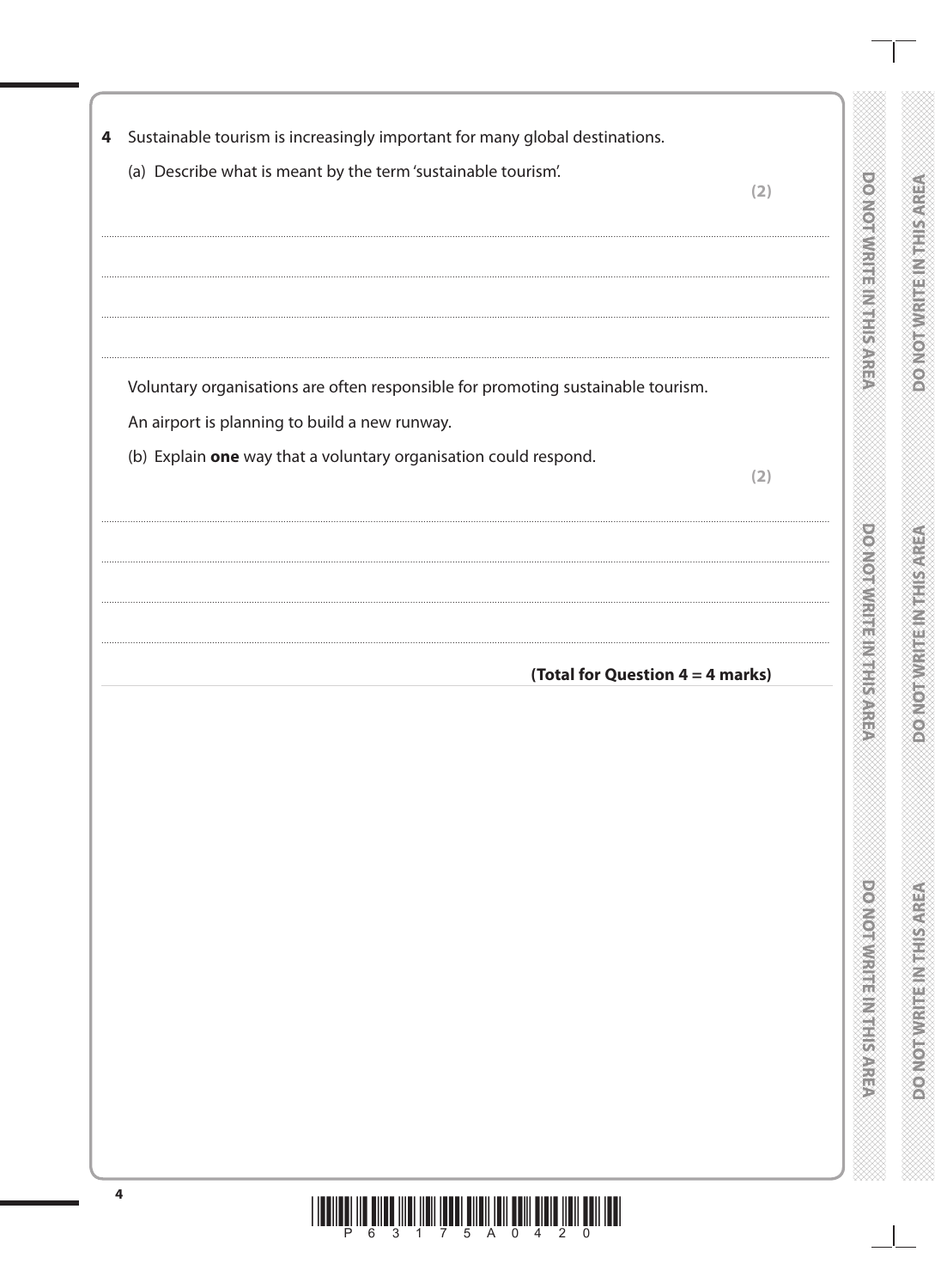4 Sustainable tourism is increasingly important for many global destinations.

(a) Describe what is meant by the term 'sustainable tourism'.

 $(2)$ 

DO NOTWRITE IN THIS AREA

**DOMOROWING** 

**DOMORAGE IN STREET OF** 

**FERMANDERNMENDED** 

Voluntary organisations are often responsible for promoting sustainable tourism.

An airport is planning to build a new runway.

(b) Explain one way that a voluntary organisation could respond.

 $(2)$ 

# (Total for Question 4 = 4 marks)

**DOMOTHUR TENNISYSTEM** 

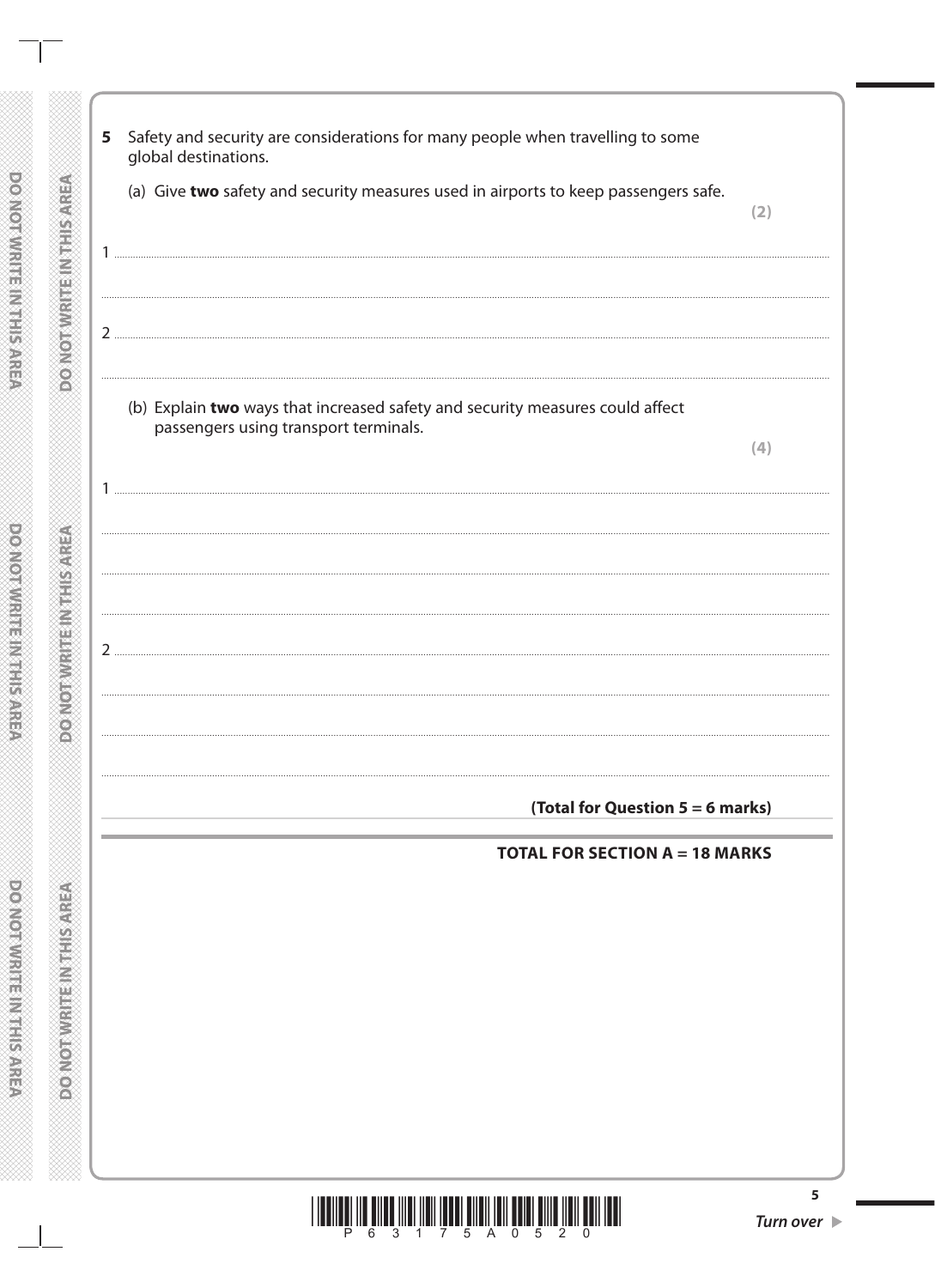Safety and security are considerations for many people when travelling to some 5 global destinations. (a) Give two safety and security measures used in airports to keep passengers safe.  $(2)$ **DONOTAL TELESCOPY**  $\overline{2}$  . The contract of the contract of the contract of the contract of the contract of the contract of the contract of the contract of the contract of the contract of the contract of the contract of the contract of th (b) Explain two ways that increased safety and security measures could affect passengers using transport terminals.  $(4)$ **DOATORWEIGHNIE SANGER** (Total for Question 5 = 6 marks) **TOTAL FOR SECTION A = 18 MARKS DOMOT WRITEIN THIS AREA** 5

**DONOTWRITEINTH SARE** 

**DONOINNRE NATH SARE!** 

**DOMOTIVIRIE: INTERNER:** 

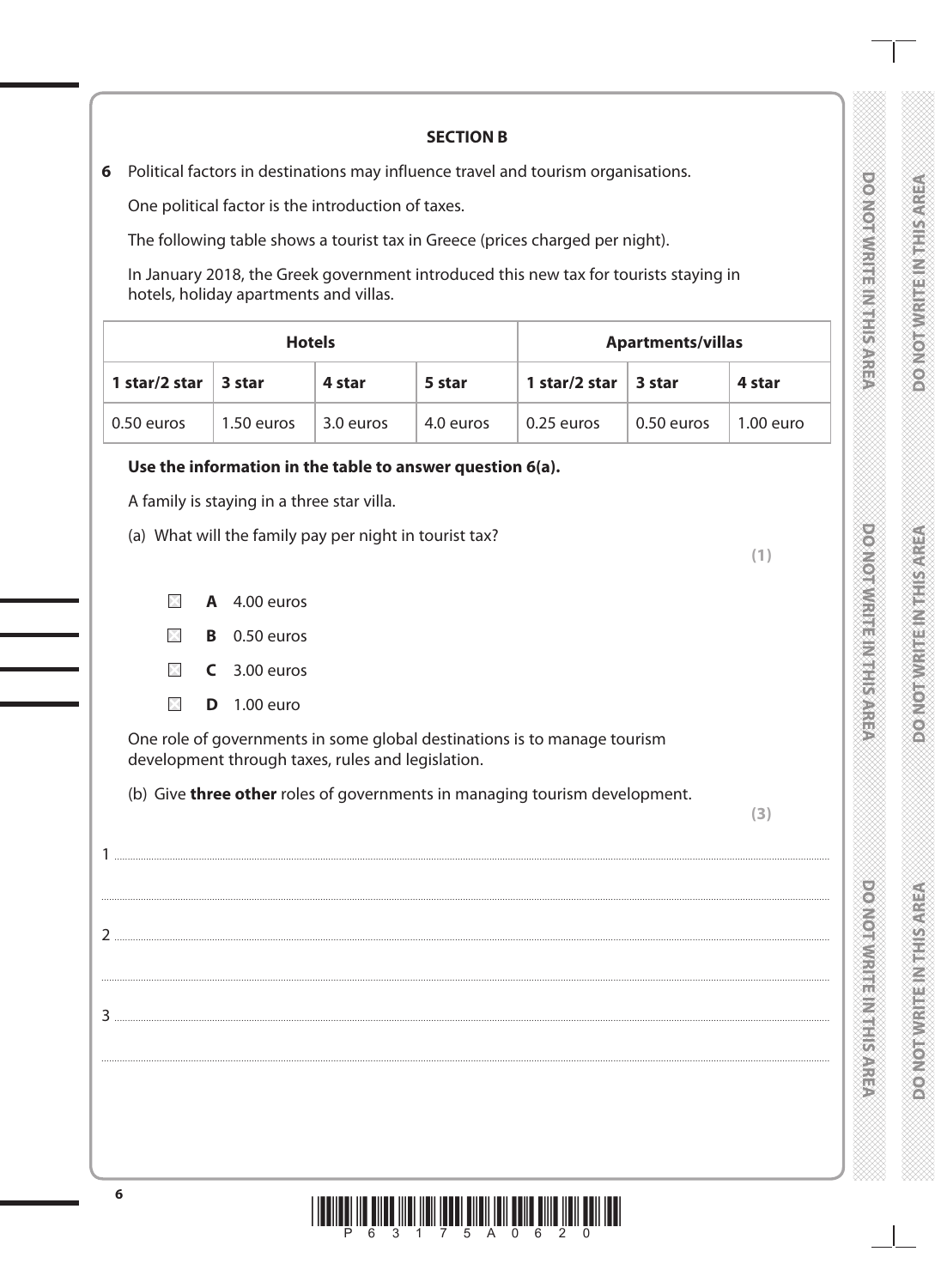**PLOTAGE IN ALSO AND TO A REPAIR** 

**DOMONTHE REFERENCE** 

**DOMOROWING** 

**DOMORWRITE INSTITUTION** 

# **SECTION B**

**6** Political factors in destinations may influence travel and tourism organisations.

One political factor is the introduction of taxes.

The following table shows a tourist tax in Greece (prices charged per night).

In January 2018, the Greek government introduced this new tax for tourists staying in hotels, holiday apartments and villas.

| <b>Hotels</b> |              |                                            |                                                           |           | <b>Apartments/villas</b>                                                                                                                               |            |           |
|---------------|--------------|--------------------------------------------|-----------------------------------------------------------|-----------|--------------------------------------------------------------------------------------------------------------------------------------------------------|------------|-----------|
| 1 star/2 star |              | 3 star                                     | 4 star                                                    | 5 star    | 1 star/2 star<br>3 star<br>4 star                                                                                                                      |            |           |
| 0.50 euros    |              | 1.50 euros                                 | 3.0 euros                                                 | 4.0 euros | 0.25 euros                                                                                                                                             | 0.50 euros | 1.00 euro |
|               |              |                                            | Use the information in the table to answer question 6(a). |           |                                                                                                                                                        |            |           |
|               |              | A family is staying in a three star villa. |                                                           |           |                                                                                                                                                        |            |           |
|               |              |                                            | (a) What will the family pay per night in tourist tax?    |           |                                                                                                                                                        |            |           |
|               |              |                                            |                                                           |           |                                                                                                                                                        |            | (1)       |
| $\boxtimes$   | $\mathsf{A}$ | 4.00 euros                                 |                                                           |           |                                                                                                                                                        |            |           |
| $\times$      | B            | 0.50 euros                                 |                                                           |           |                                                                                                                                                        |            |           |
| $\boxtimes$   | C            | 3.00 euros                                 |                                                           |           |                                                                                                                                                        |            |           |
| $\times$      | D            | 1.00 euro                                  |                                                           |           |                                                                                                                                                        |            |           |
|               |              |                                            | development through taxes, rules and legislation.         |           | One role of governments in some global destinations is to manage tourism<br>(b) Give three other roles of governments in managing tourism development. |            | (3)       |
|               |              |                                            |                                                           |           |                                                                                                                                                        |            |           |
|               |              |                                            |                                                           |           |                                                                                                                                                        |            |           |
|               |              |                                            |                                                           |           |                                                                                                                                                        |            |           |
| 3             |              |                                            |                                                           |           |                                                                                                                                                        |            |           |
|               |              |                                            |                                                           |           |                                                                                                                                                        |            |           |
|               |              |                                            |                                                           |           |                                                                                                                                                        |            |           |
|               |              |                                            |                                                           |           |                                                                                                                                                        |            |           |
|               |              |                                            |                                                           |           |                                                                                                                                                        |            |           |
| 6             |              |                                            |                                                           |           |                                                                                                                                                        |            |           |

\*P63175A0620\* **<sup>6</sup>**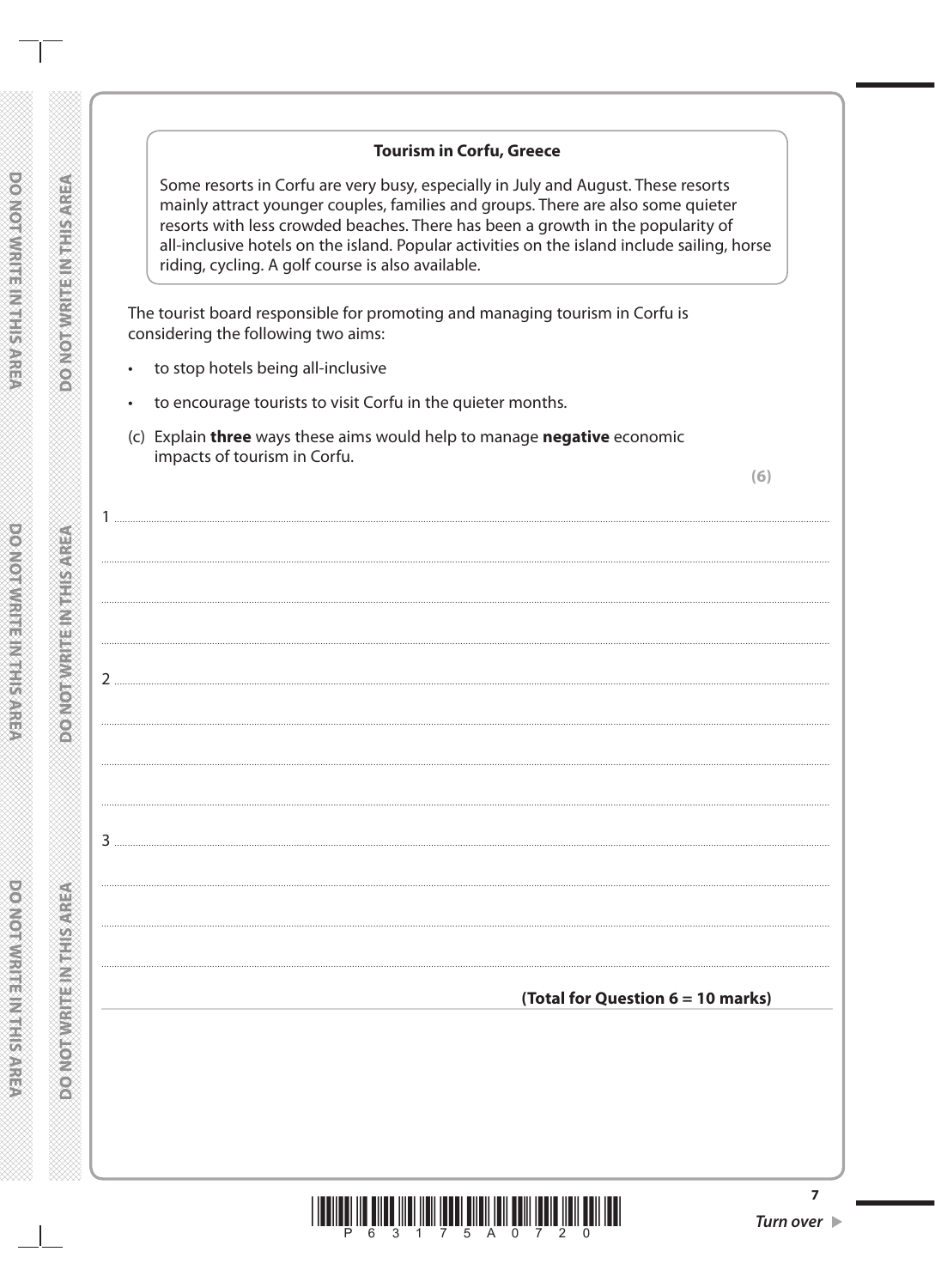#### **Tourism in Corfu, Greece**

Some resorts in Corfu are very busy, especially in July and August. These resorts mainly attract vounger couples, families and groups. There are also some quieter resorts with less crowded beaches. There has been a growth in the popularity of all-inclusive hotels on the island. Popular activities on the island include sailing, horse riding, cycling. A golf course is also available.

The tourist board responsible for promoting and managing tourism in Corfu is considering the following two aims:

- to stop hotels being all-inclusive
- to encourage tourists to visit Corfu in the quieter months.

(c) Explain three ways these aims would help to manage negative economic impacts of tourism in Corfu.

 $(6)$ 

(Total for Question 6 = 10 marks)



**DONOTAL TELESCOPY** 

3

**DONOINNRE NATH SARE!** 

G<br>E

Ě

**POINCT WRITE**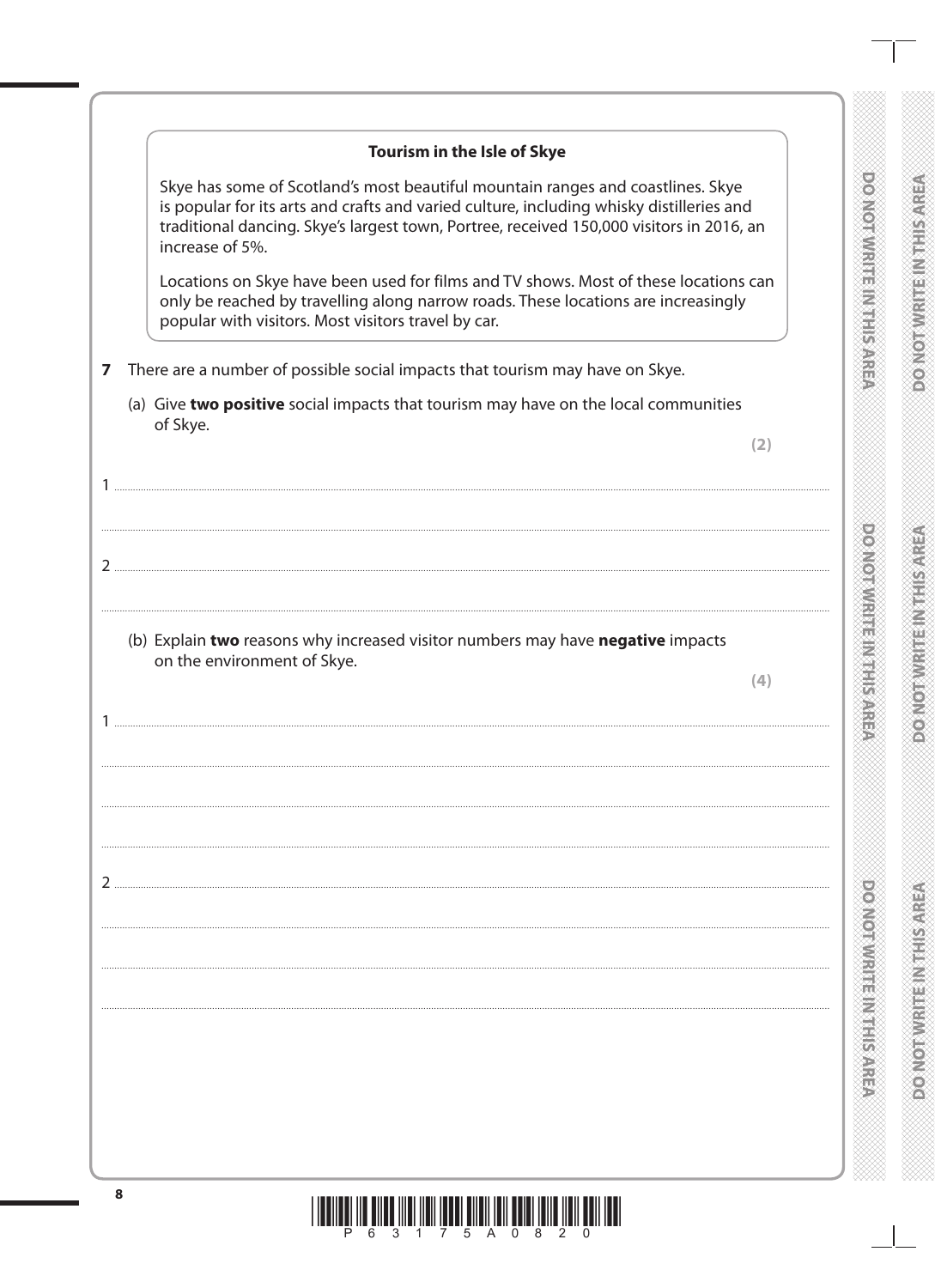| Tourism in the Isle of Skye<br>Skye has some of Scotland's most beautiful mountain ranges and coastlines. Skye<br>is popular for its arts and crafts and varied culture, including whisky distilleries and<br>traditional dancing. Skye's largest town, Portree, received 150,000 visitors in 2016, an<br>increase of 5%. |               |  |
|---------------------------------------------------------------------------------------------------------------------------------------------------------------------------------------------------------------------------------------------------------------------------------------------------------------------------|---------------|--|
| Locations on Skye have been used for films and TV shows. Most of these locations can<br>only be reached by travelling along narrow roads. These locations are increasingly<br>popular with visitors. Most visitors travel by car.                                                                                         |               |  |
| There are a number of possible social impacts that tourism may have on Skye.<br>7<br>(a) Give two positive social impacts that tourism may have on the local communities<br>of Skye.<br>(2)                                                                                                                               |               |  |
| 2<br>(b) Explain two reasons why increased visitor numbers may have negative impacts<br>on the environment of Skye.<br>(4)                                                                                                                                                                                                | O O           |  |
| 2                                                                                                                                                                                                                                                                                                                         | <b>DON 01</b> |  |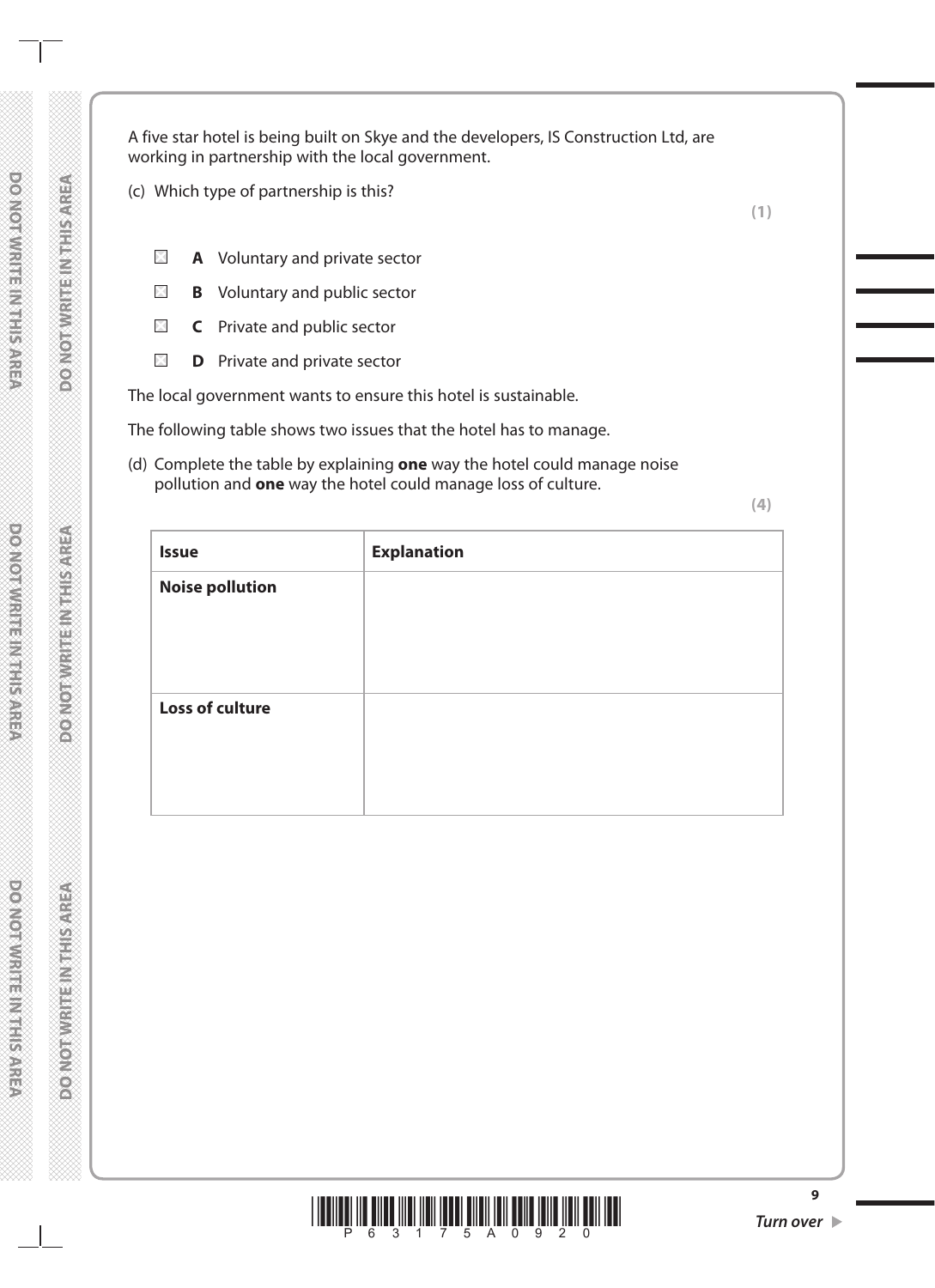A five star hotel is being built on Skye and the developers, IS Construction Ltd, are working in partnership with the local government.

(c) Which type of partnership is this?

**(1)**

- $\boxtimes$ **A** Voluntary and private sector
- $\times$ **B** Voluntary and public sector
- $\mathbb{X}$ **C** Private and public sector
- $\mathbb{X}$ **D** Private and private sector

The local government wants to ensure this hotel is sustainable.

The following table shows two issues that the hotel has to manage.

(d) Complete the table by explaining **one** way the hotel could manage noise pollution and **one** way the hotel could manage loss of culture.

**(4)**

| <b>Issue</b>           | <b>Explanation</b> |
|------------------------|--------------------|
| <b>Noise pollution</b> |                    |
| <b>Loss of culture</b> |                    |

**DOATOF WRITEIN IT: ISSNRES** 

DO NOTAWRITE IN THIS AREA

人名英格兰人姓氏

**BOXYOTALIZERING** 

**DOMORWATERMENTSWATER** 



**9**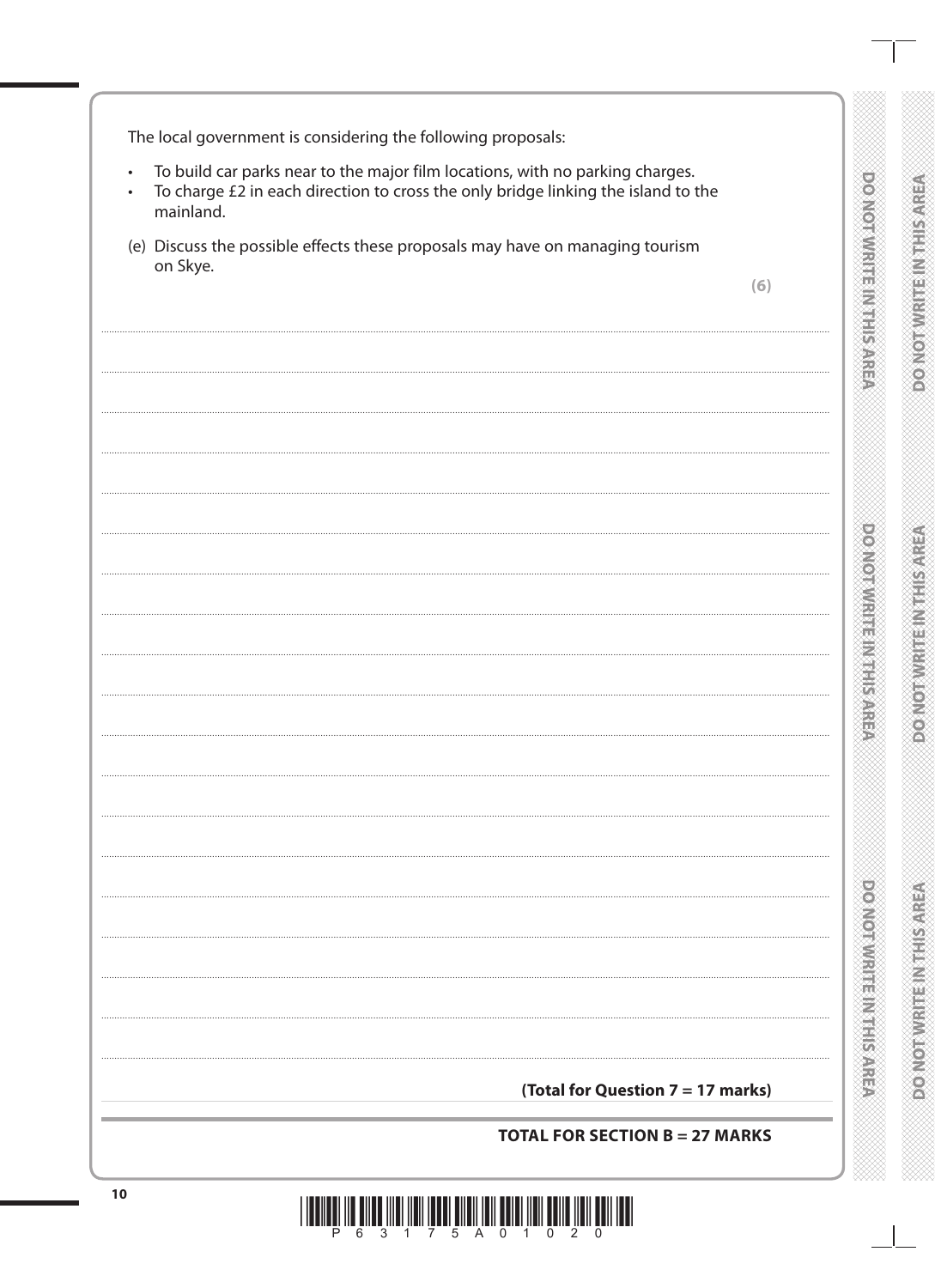**RESIDERING IN THE MARGING** 

**DO NO NATURE NEEDED STEEP** 

**DOMORAGE IN STREET OF** 

**DOMOROMY PRESSURE** 

**DOMOINMRENT ISARE** 

The local government is considering the following proposals:

- To build car parks near to the major film locations, with no parking charges.  $\ddot{\phantom{0}}$
- To charge £2 in each direction to cross the only bridge linking the island to the mainland.
- (e) Discuss the possible effects these proposals may have on managing tourism on Skye.

 $(6)$ 

(Total for Question 7 = 17 marks)

**TOTAL FOR SECTION B = 27 MARKS** 

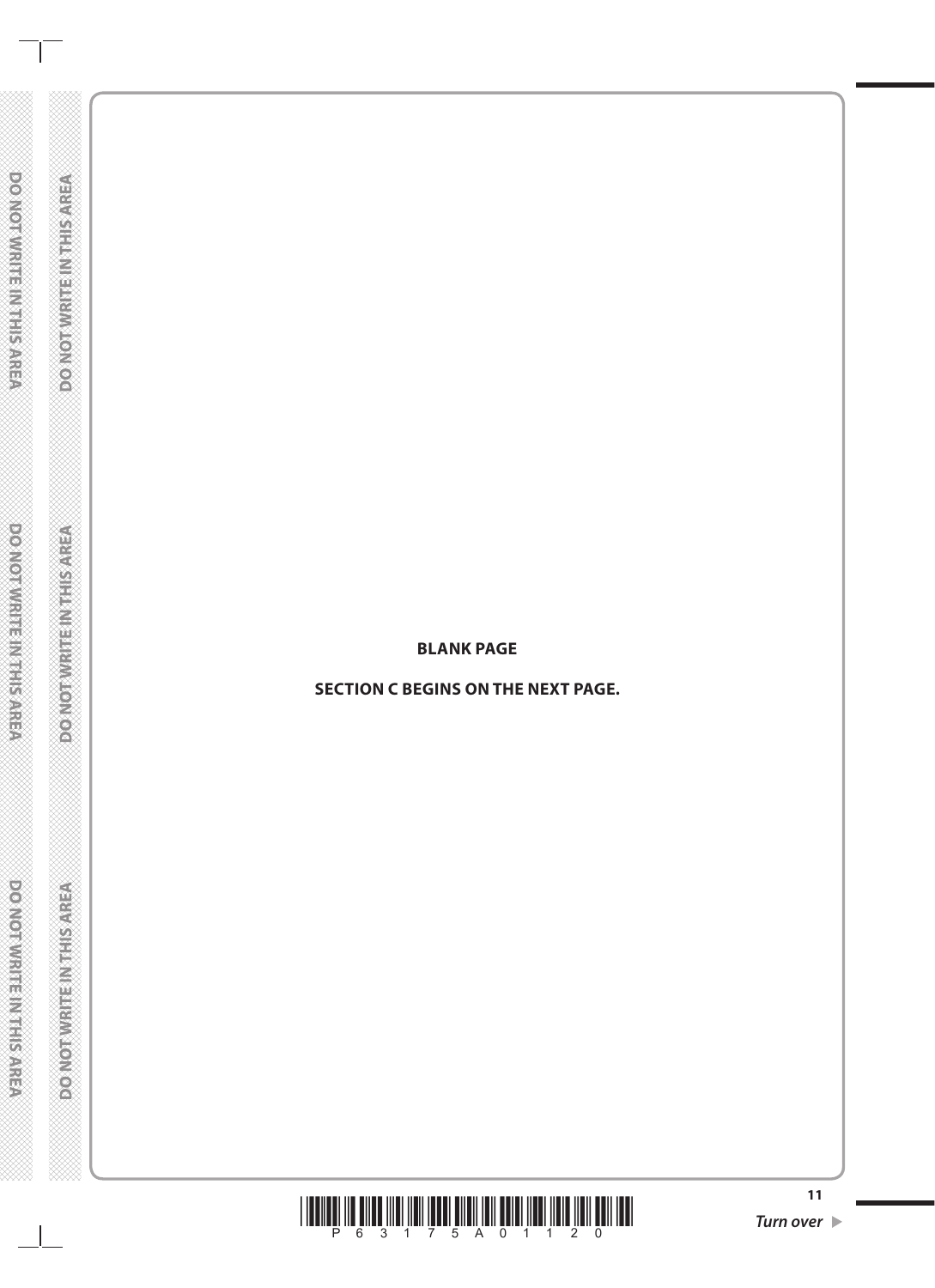$\blacksquare$ 

**DOMORWIGHT INTHISAREA** 

**DOMOTIVERED MEET** 

DONOTWRITEINTHIS AREA

**BLANK PAGE**

**SECTION C BEGINS ON THE NEXT PAGE.**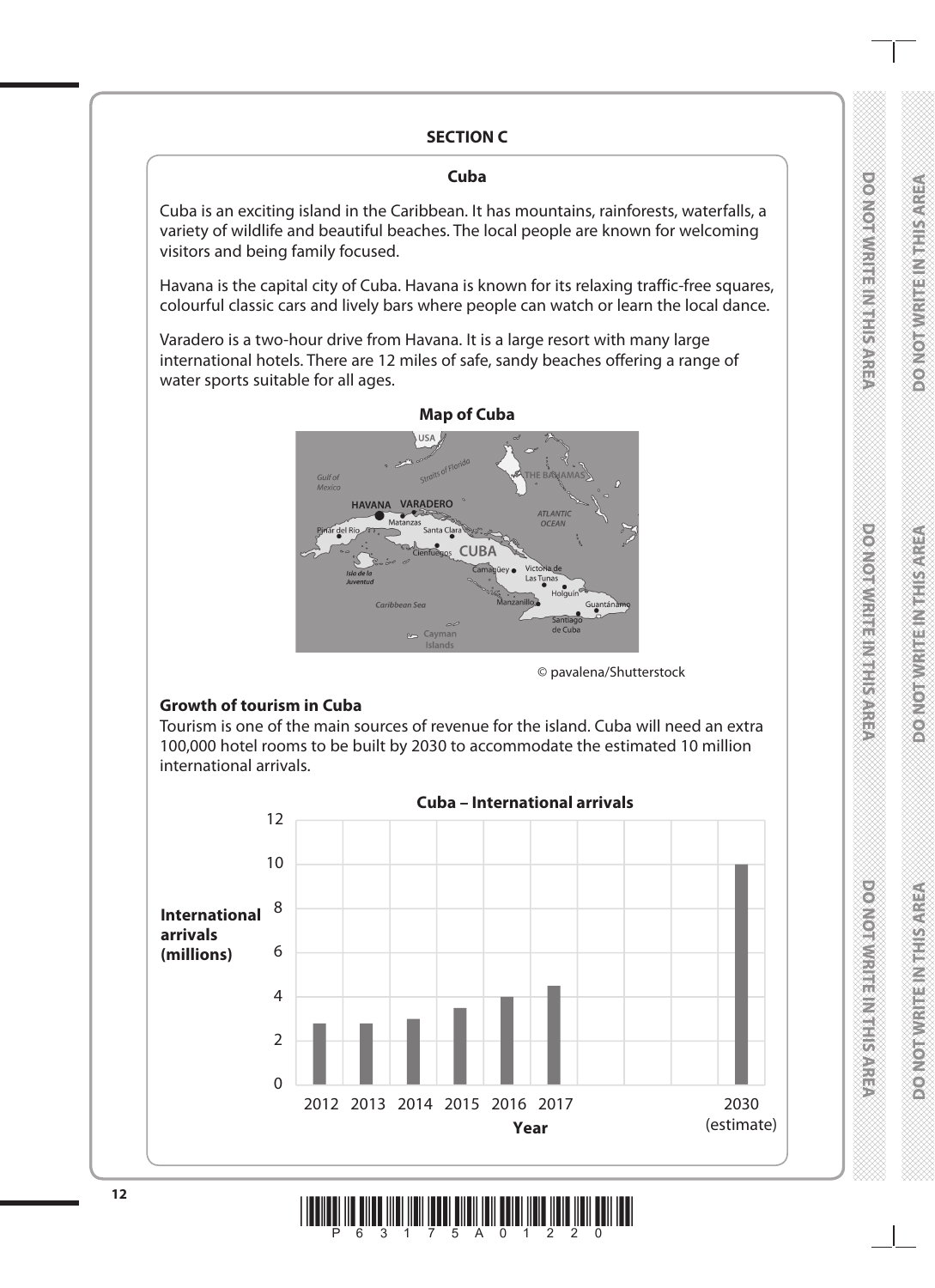## **SECTION C**

#### **Cuba**

Cuba is an exciting island in the Caribbean. It has mountains, rainforests, waterfalls, a variety of wildlife and beautiful beaches. The local people are known for welcoming visitors and being family focused.

Havana is the capital city of Cuba. Havana is known for its relaxing traffic-free squares, colourful classic cars and lively bars where people can watch or learn the local dance.

Varadero is a two-hour drive from Havana. It is a large resort with many large international hotels. There are 12 miles of safe, sandy beaches offering a range of water sports suitable for all ages.



© pavalena/Shutterstock

**DOMONTHE MANIFERS** 

**PONDED MELTING STATE** 

**DOCKLOSK WRITING HIS AREA** 

**RECISSION CONTROLS INTO A RECORD** 

**DONOTHER HEATHERS** 

**RESING IF IN THE PIRTUAL ORIGINAL** 

### **Growth of tourism in Cuba**

Tourism is one of the main sources of revenue for the island. Cuba will need an extra 100,000 hotel rooms to be built by 2030 to accommodate the estimated 10 million international arrivals.



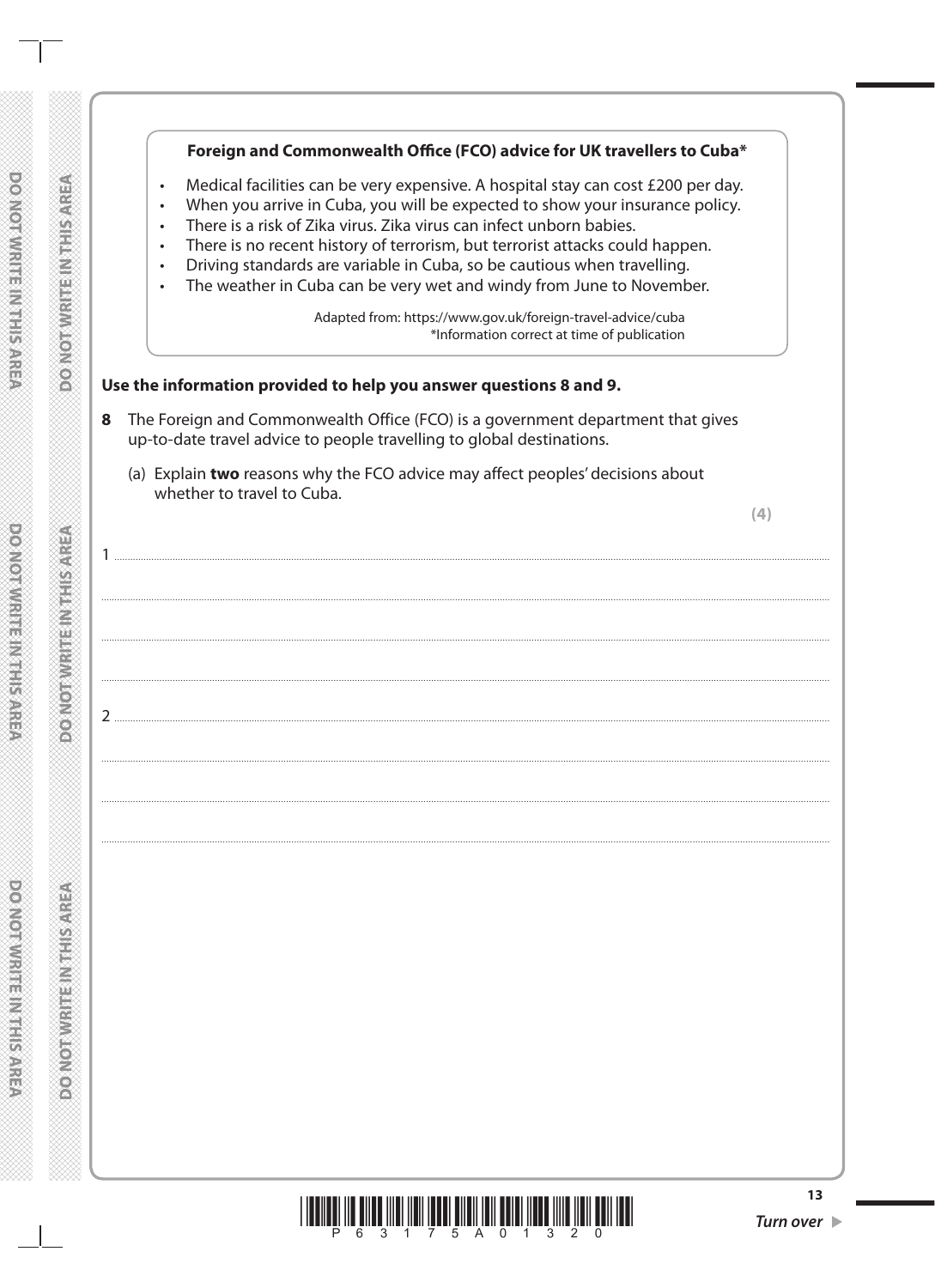|   | Foreign and Commonwealth Office (FCO) advice for UK travellers to Cuba*                                                                                                                                                                                                                                                                                                                                                                                                                                                                     |     |
|---|---------------------------------------------------------------------------------------------------------------------------------------------------------------------------------------------------------------------------------------------------------------------------------------------------------------------------------------------------------------------------------------------------------------------------------------------------------------------------------------------------------------------------------------------|-----|
|   | Medical facilities can be very expensive. A hospital stay can cost £200 per day.<br>$\bullet$<br>When you arrive in Cuba, you will be expected to show your insurance policy.<br>$\bullet$<br>There is a risk of Zika virus. Zika virus can infect unborn babies.<br>$\bullet$<br>There is no recent history of terrorism, but terrorist attacks could happen.<br>$\bullet$<br>Driving standards are variable in Cuba, so be cautious when travelling.<br>$\bullet$<br>The weather in Cuba can be very wet and windy from June to November. |     |
|   | Adapted from: https://www.gov.uk/foreign-travel-advice/cuba<br>*Information correct at time of publication                                                                                                                                                                                                                                                                                                                                                                                                                                  |     |
|   | Use the information provided to help you answer questions 8 and 9.                                                                                                                                                                                                                                                                                                                                                                                                                                                                          |     |
| 8 | The Foreign and Commonwealth Office (FCO) is a government department that gives<br>up-to-date travel advice to people travelling to global destinations.                                                                                                                                                                                                                                                                                                                                                                                    |     |
|   | (a) Explain two reasons why the FCO advice may affect peoples' decisions about                                                                                                                                                                                                                                                                                                                                                                                                                                                              |     |
|   | whether to travel to Cuba.                                                                                                                                                                                                                                                                                                                                                                                                                                                                                                                  | (4) |
|   |                                                                                                                                                                                                                                                                                                                                                                                                                                                                                                                                             |     |
|   |                                                                                                                                                                                                                                                                                                                                                                                                                                                                                                                                             |     |
|   |                                                                                                                                                                                                                                                                                                                                                                                                                                                                                                                                             |     |
|   |                                                                                                                                                                                                                                                                                                                                                                                                                                                                                                                                             |     |
| 2 |                                                                                                                                                                                                                                                                                                                                                                                                                                                                                                                                             |     |
|   |                                                                                                                                                                                                                                                                                                                                                                                                                                                                                                                                             |     |
|   |                                                                                                                                                                                                                                                                                                                                                                                                                                                                                                                                             |     |
|   |                                                                                                                                                                                                                                                                                                                                                                                                                                                                                                                                             |     |
|   |                                                                                                                                                                                                                                                                                                                                                                                                                                                                                                                                             |     |
|   |                                                                                                                                                                                                                                                                                                                                                                                                                                                                                                                                             |     |
|   |                                                                                                                                                                                                                                                                                                                                                                                                                                                                                                                                             |     |
|   |                                                                                                                                                                                                                                                                                                                                                                                                                                                                                                                                             |     |
|   |                                                                                                                                                                                                                                                                                                                                                                                                                                                                                                                                             |     |
|   |                                                                                                                                                                                                                                                                                                                                                                                                                                                                                                                                             |     |
|   |                                                                                                                                                                                                                                                                                                                                                                                                                                                                                                                                             |     |
|   |                                                                                                                                                                                                                                                                                                                                                                                                                                                                                                                                             |     |

 $\overline{\phantom{a}}$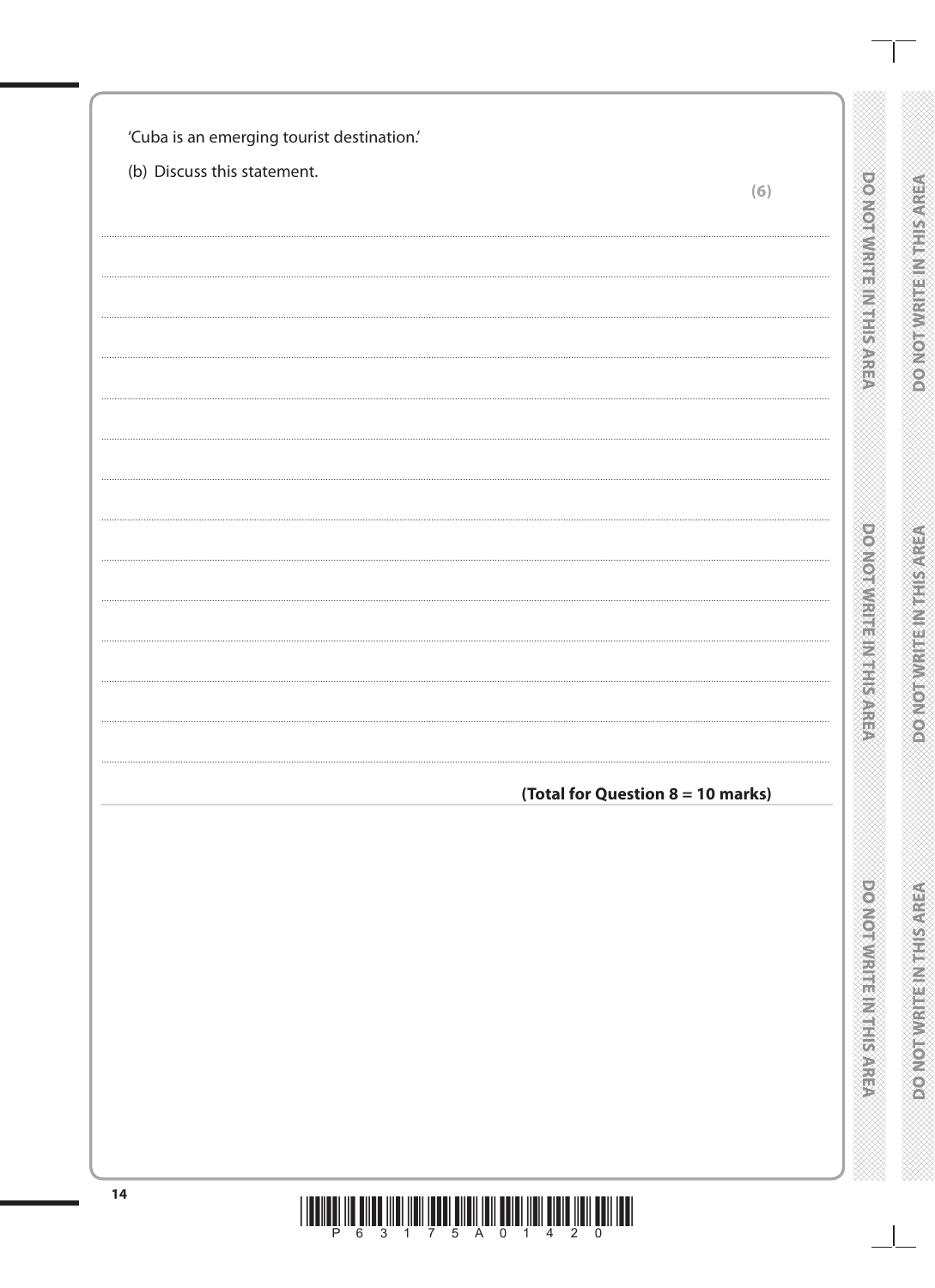| (b) Discuss this statement.       | (6) |                                 |                              |
|-----------------------------------|-----|---------------------------------|------------------------------|
|                                   |     | <b>DOMONANTENNER</b>            | <b>REINFORMER REINGEONCO</b> |
|                                   |     |                                 |                              |
|                                   |     |                                 |                              |
|                                   |     |                                 |                              |
|                                   |     |                                 |                              |
|                                   |     |                                 |                              |
|                                   |     |                                 |                              |
|                                   |     |                                 |                              |
|                                   |     |                                 |                              |
|                                   |     |                                 |                              |
|                                   |     | <b>SOUTH AND AN ARRANGEMENT</b> | <b>MORALD MEDICINE ON A</b>  |
|                                   |     |                                 |                              |
| (Total for Question 8 = 10 marks) |     |                                 |                              |
|                                   |     |                                 |                              |
|                                   |     |                                 |                              |
|                                   |     |                                 | <b>PONOTAVE TENNES AREA</b>  |
|                                   |     | <b>Designations</b>             |                              |
|                                   |     |                                 |                              |
|                                   |     |                                 |                              |
|                                   |     |                                 |                              |
|                                   |     |                                 |                              |
|                                   |     |                                 |                              |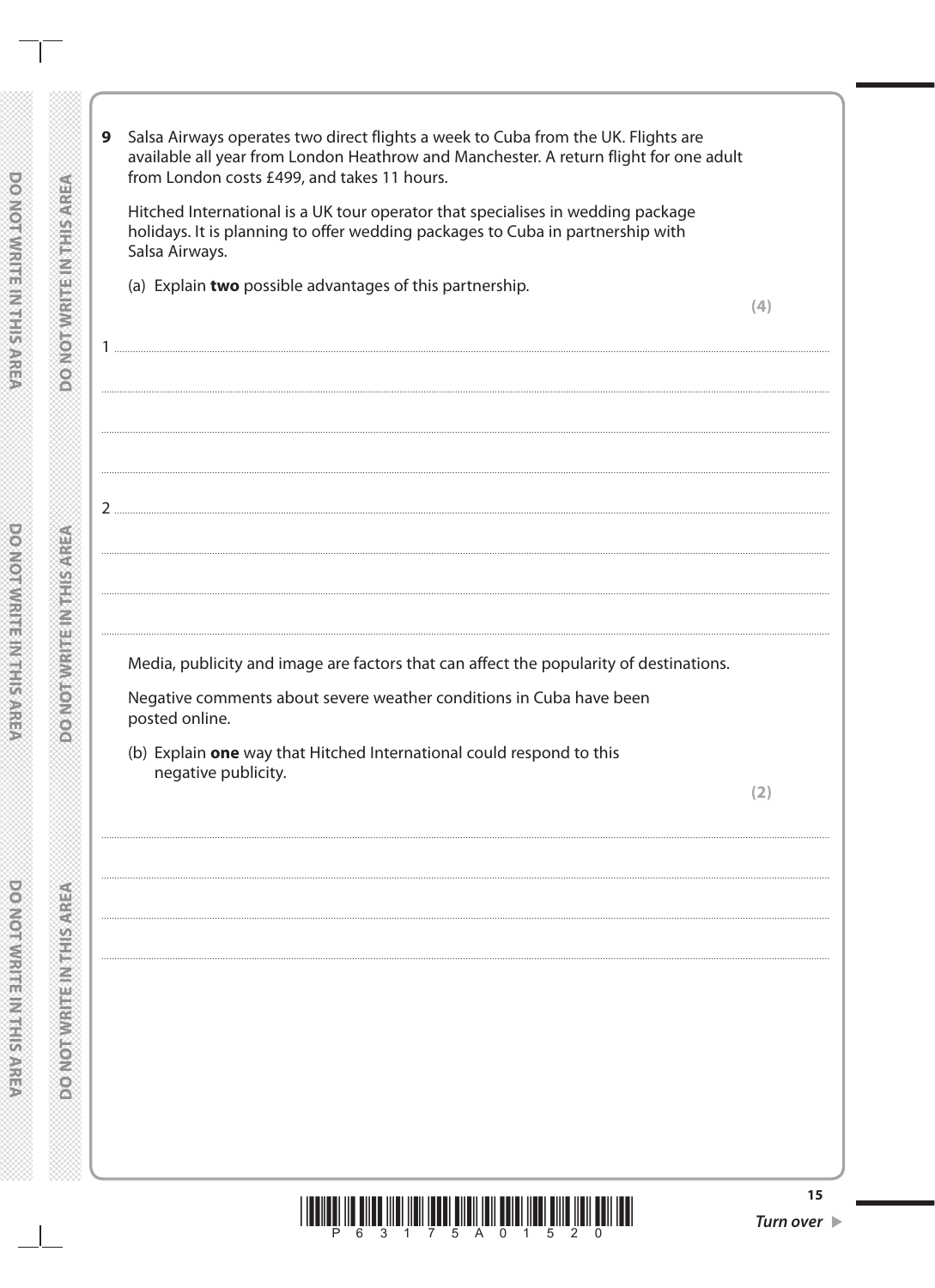| <b>DONOINING HEIMITIS AREA</b>    | 9<br>T.        | Salsa Airways operates two direct flights a week to Cuba from the UK. Flights are<br>available all year from London Heathrow and Manchester. A return flight for one adult<br>from London costs £499, and takes 11 hours.<br>Hitched International is a UK tour operator that specialises in wedding package<br>holidays. It is planning to offer wedding packages to Cuba in partnership with<br>Salsa Airways.<br>(a) Explain two possible advantages of this partnership. | (4) |
|-----------------------------------|----------------|------------------------------------------------------------------------------------------------------------------------------------------------------------------------------------------------------------------------------------------------------------------------------------------------------------------------------------------------------------------------------------------------------------------------------------------------------------------------------|-----|
| <b>PION OF BUILTING TO A READ</b> | 2 <sub>1</sub> | Media, publicity and image are factors that can affect the popularity of destinations.                                                                                                                                                                                                                                                                                                                                                                                       |     |
|                                   |                | Negative comments about severe weather conditions in Cuba have been<br>posted online.<br>(b) Explain one way that Hitched International could respond to this<br>negative publicity.                                                                                                                                                                                                                                                                                         | (2) |
| <b>DOMORATE IN THIS WARD</b>      |                |                                                                                                                                                                                                                                                                                                                                                                                                                                                                              |     |



a ka

X)<br>Ko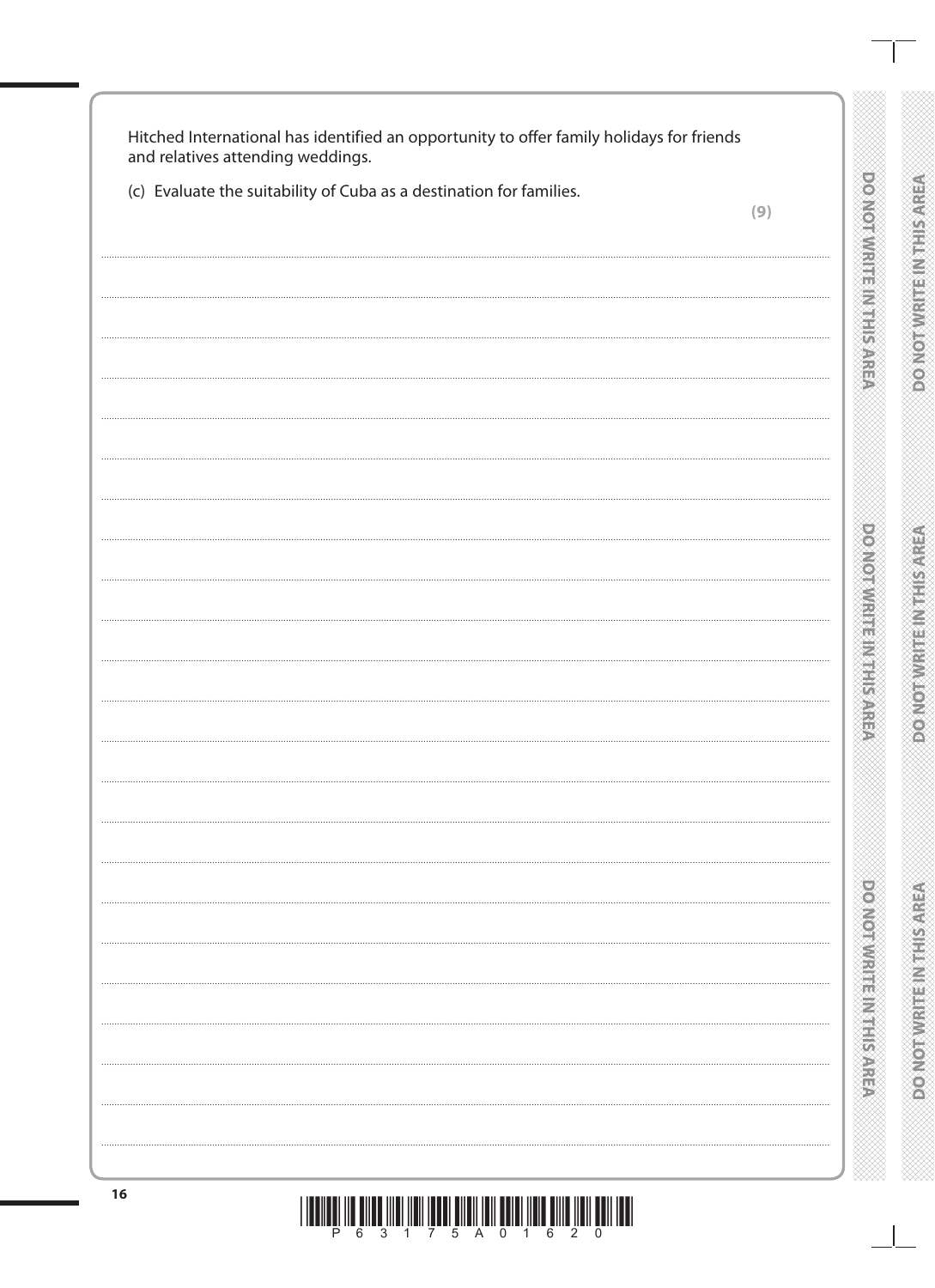| 16 |                                                                                                          |     |                                      |                                           |
|----|----------------------------------------------------------------------------------------------------------|-----|--------------------------------------|-------------------------------------------|
|    |                                                                                                          |     | portors with the presence of section | <b>RESINES IN THE REPORT OF THE STATE</b> |
|    |                                                                                                          |     | 8<br><b>SAN ANTIBODIES</b>           |                                           |
|    | and relatives attending weddings.<br>(c) Evaluate the suitability of Cuba as a destination for families. | (9) | <b>MORWARD FRAME SYSTEM</b>          | <b>PONTORNIAL REPORTS NO RECORDED</b>     |
|    | Hitched International has identified an opportunity to offer family holidays for friends                 |     |                                      |                                           |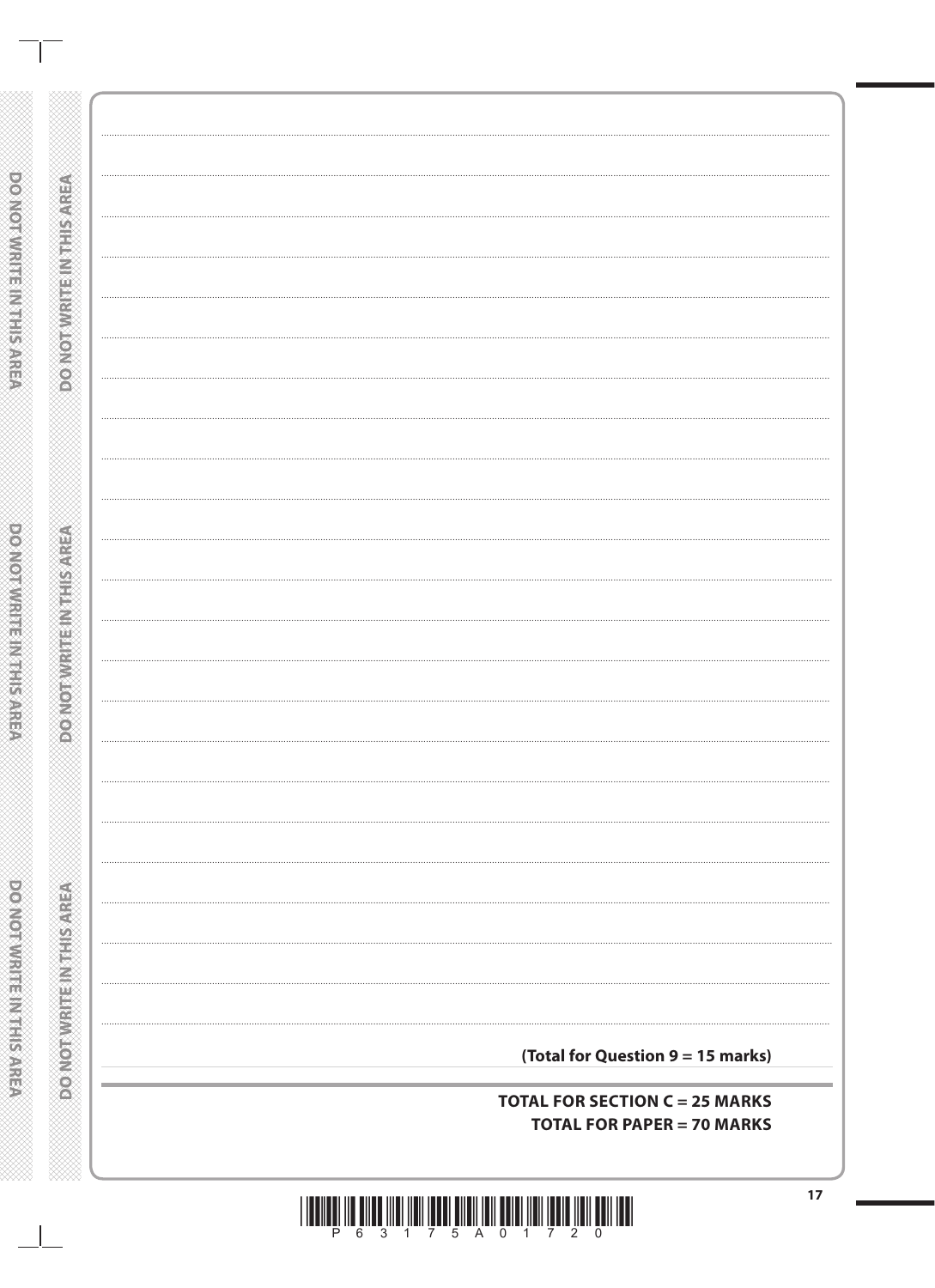| <b>O NONWARTH FRAMED I</b>      | AREA<br>ú<br>F         |                                                                                                                 |
|---------------------------------|------------------------|-----------------------------------------------------------------------------------------------------------------|
|                                 | <b>DOSNO PRIMERIES</b> |                                                                                                                 |
| <b>PONORMER IN THE SAME</b>     | 6<br>Ż                 |                                                                                                                 |
| <b>DOMORAWRITE MARKETS AREA</b> | ĻŅ.                    | (Total for Question 9 = 15 marks)<br><b>TOTAL FOR SECTION C = 25 MARKS</b><br><b>TOTAL FOR PAPER = 70 MARKS</b> |

 $\overline{\phantom{a}}$ 

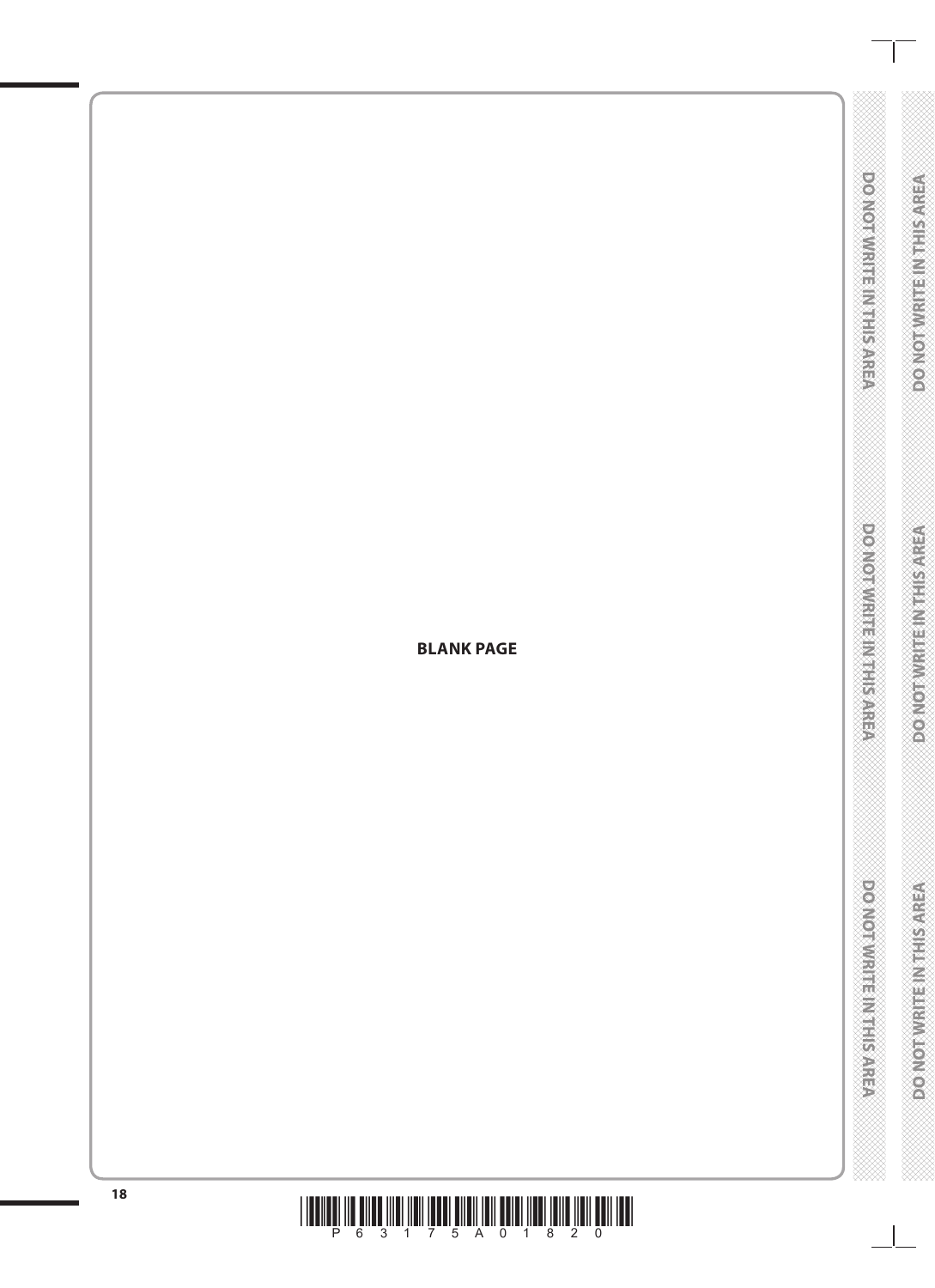**DONOTWRITEINTHISAREA** 

DOMOTWRITEINTHISAREA

**BLANK PAGE** 

 $\begin{array}{c} \text{array} \\ \text{array} \\ \text{array} \\ \text{array} \end{array} \begin{array}{c} \begin{array}{c} \text{array} \\ \text{array} \\ \text{array} \end{array} \\ \begin{array}{c} \text{array} \\ \text{array} \end{array} \end{array} \begin{array}{c} \begin{array}{c} \text{array} \\ \text{array} \\ \text{array} \end{array} \\ \begin{array}{c} \text{array} \\ \text{array} \end{array} \end{array} \begin{array}{c} \begin{array}{c} \text{array} \\ \text{array} \\ \text{array} \end{array} \\ \begin{array}{c} \text{array} \\ \text{array}$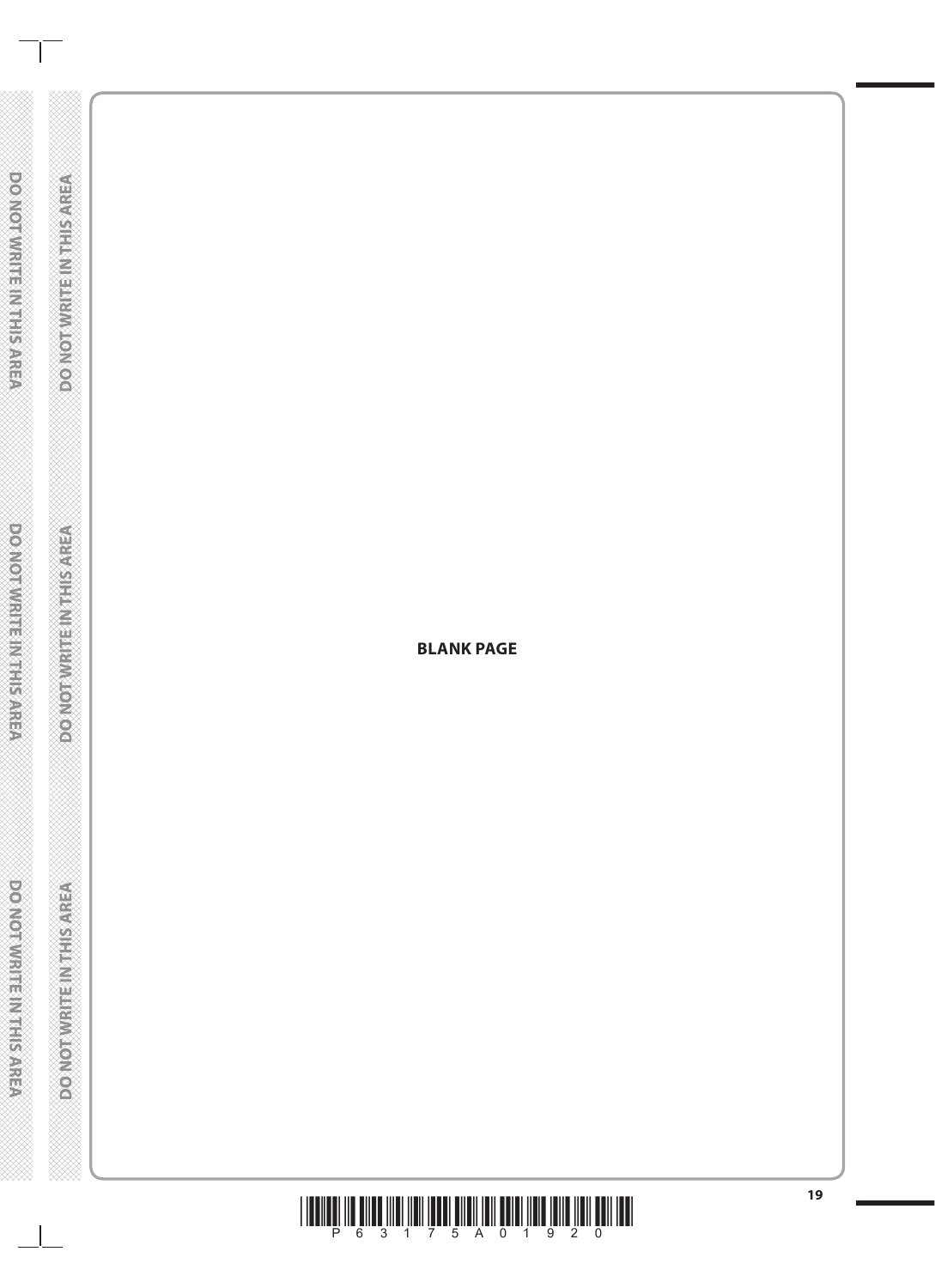$\sim 1$ 

**DO NOTWARE INTHIS AREA** 

**DO NOTAVALE INTERVERS** 

DO NOT WRITE IN THIS AREA

19

**BLANK PAGE**